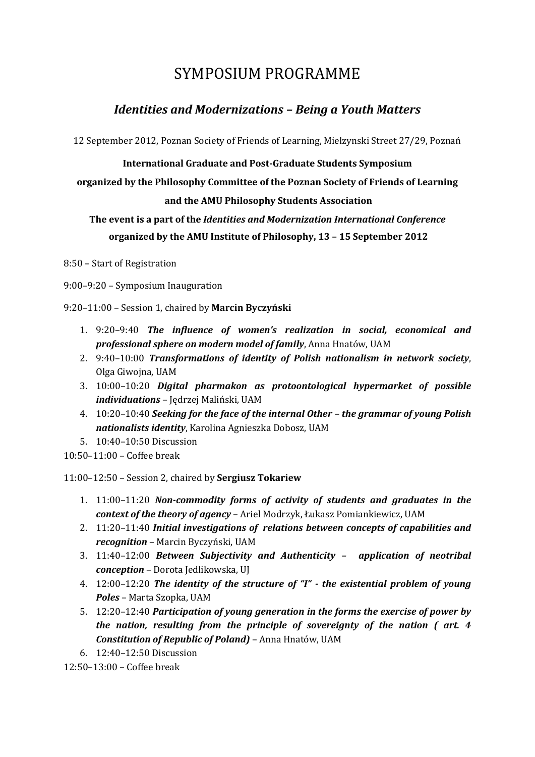# SYMPOSIUM PROGRAMME

### *Identities and Modernizations – Being a Youth Matters*

12 September 2012, Poznan Society of Friends of Learning, Mielzynski Street 27/29, Poznań

**International Graduate and Post-Graduate Students Symposium**

**organized by the Philosophy Committee of the Poznan Society of Friends of Learning** 

#### **and the AMU Philosophy Students Association**

### **The event is a part of the** *Identities and Modernization International Conference* **organized by the AMU Institute of Philosophy, 13 – 15 September 2012**

8:50 – Start of Registration

9:00–9:20 – Symposium Inauguration

9:20–11:00 – Session 1, chaired by **Marcin Byczyński**

- 1. 9:20–9:40 *The influence of women's realization in social, economical and professional sphere on modern model of family*, Anna Hnatów, UAM
- 2. 9:40–10:00 *Transformations of identity of Polish nationalism in network society*, Olga Giwojna, UAM
- 3. 10:00–10:20 *Digital pharmakon as protoontological hypermarket of possible individuations* – Jędrzej Maliński, UAM
- 4. 10:20–10:40 *Seeking for the face of the internal Other – the grammar of young Polish nationalists identity*, Karolina Agnieszka Dobosz, UAM
- 5. 10:40–10:50 Discussion

10:50–11:00 – Coffee break

11:00–12:50 – Session 2, chaired by **Sergiusz Tokariew**

- 1. 11:00–11:20 *Non-commodity forms of activity of students and graduates in the context of the theory of agency* – Ariel Modrzyk, Łukasz Pomiankiewicz, UAM
- 2. 11:20–11:40 *Initial investigations of relations between concepts of capabilities and recognition* – Marcin Byczyński, UAM
- 3. 11:40–12:00 *Between Subjectivity and Authenticity – application of neotribal conception* – Dorota Jedlikowska, UJ
- 4. 12:00–12:20 *The identity of the structure of "I" - the existential problem of young Poles* – Marta Szopka, UAM
- 5. 12:20–12:40 *Participation of young generation in the forms the exercise of power by the nation, resulting from the principle of sovereignty of the nation ( art. 4 Constitution of Republic of Poland)* – Anna Hnatów, UAM
- 6. 12:40–12:50 Discussion

12:50–13:00 – Coffee break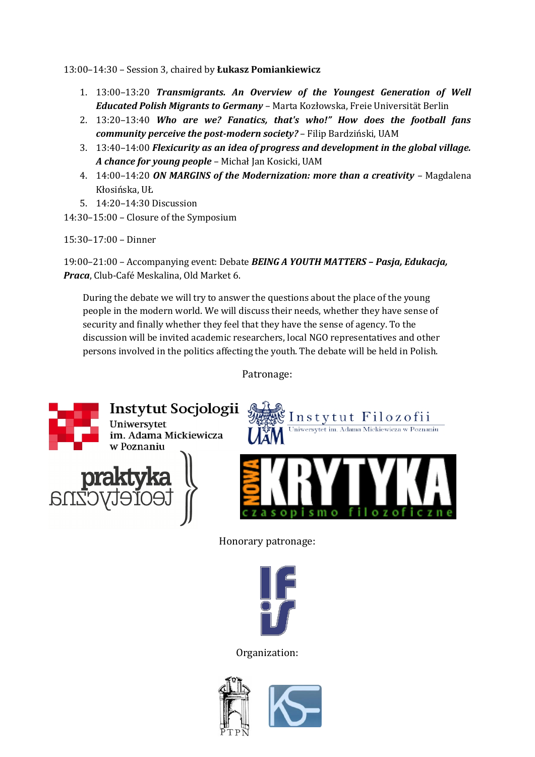13:00–14:30 – Session 3, chaired by **Łukasz Pomiankiewicz**

- 1. 13:00–13:20 *Transmigrants. An Overview of the Youngest Generation of Well Educated Polish Migrants to Germany* – Marta Kozłowska, Freie Universität Berlin
- 2. 13:20–13:40 *Who are we? Fanatics, that's who!" How does the football fans community perceive the post-modern society?* – Filip Bardziński, UAM
- 3. 13:40–14:00 *Flexicurity as an idea of progress and development in the global village. A chance for young people* – Michał Jan Kosicki, UAM
- 4. 14:00–14:20 *ON MARGINS of the Modernization: more than a creativity* Magdalena Kłosińska, UŁ
- 5. 14:20–14:30 Discussion
- 14:30–15:00 Closure of the Symposium

15:30–17:00 – Dinner

19:00–21:00 – Accompanying event: Debate *BEING A YOUTH MATTERS – Pasja, Edukacja, Praca*, Club-Café Meskalina, Old Market 6.

During the debate we will try to answer the questions about the place of the young people in the modern world. We will discuss their needs, whether they have sense of security and finally whether they feel that they have the sense of agency. To the discussion will be invited academic researchers, local NGO representatives and other persons involved in the politics affecting the youth. The debate will be held in Polish.

Patronage:



Honorary patronage:



Organization:



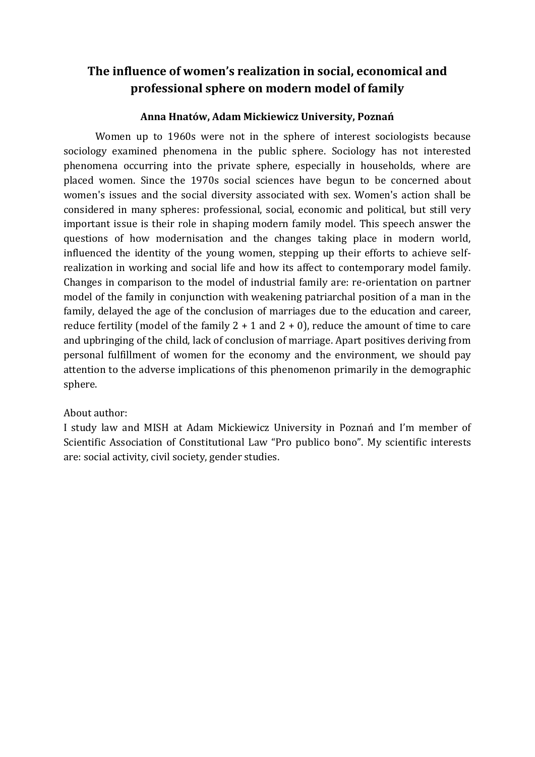### **The influence of women's realization in social, economical and professional sphere on modern model of family**

#### **Anna Hnatów, Adam Mickiewicz University, Poznań**

Women up to 1960s were not in the sphere of interest sociologists because sociology examined phenomena in the public sphere. Sociology has not interested phenomena occurring into the private sphere, especially in households, where are placed women. Since the 1970s social sciences have begun to be concerned about women's issues and the social diversity associated with sex. Women's action shall be considered in many spheres: professional, social, economic and political, but still very important issue is their role in shaping modern family model. This speech answer the questions of how modernisation and the changes taking place in modern world, influenced the identity of the young women, stepping up their efforts to achieve selfrealization in working and social life and how its affect to contemporary model family. Changes in comparison to the model of industrial family are: re-orientation on partner model of the family in conjunction with weakening patriarchal position of a man in the family, delayed the age of the conclusion of marriages due to the education and career, reduce fertility (model of the family  $2 + 1$  and  $2 + 0$ ), reduce the amount of time to care and upbringing of the child, lack of conclusion of marriage. Apart positives deriving from personal fulfillment of women for the economy and the environment, we should pay attention to the adverse implications of this phenomenon primarily in the demographic sphere.

### About author:

I study law and MISH at Adam Mickiewicz University in Poznań and I'm member of Scientific Association of Constitutional Law "Pro publico bono". My scientific interests are: social activity, civil society, gender studies.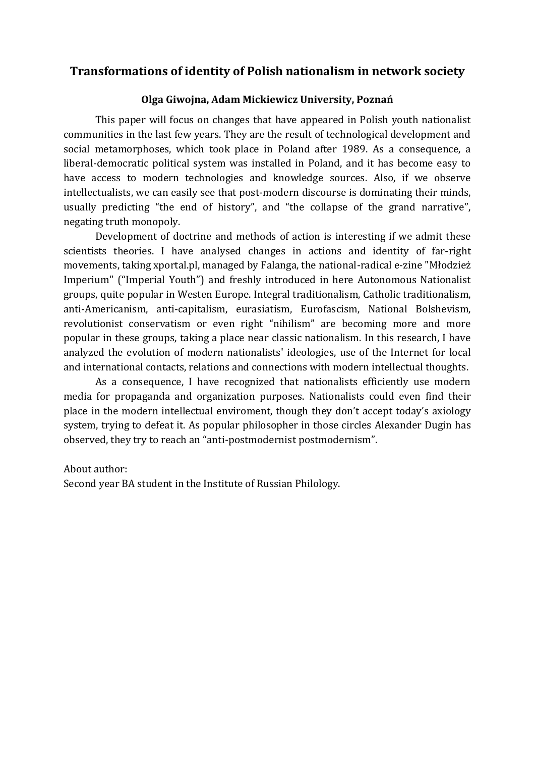### **Transformations of identity of Polish nationalism in network society**

#### **Olga Giwojna, Adam Mickiewicz University, Poznań**

This paper will focus on changes that have appeared in Polish youth nationalist communities in the last few years. They are the result of technological development and social metamorphoses, which took place in Poland after 1989. As a consequence, a liberal-democratic political system was installed in Poland, and it has become easy to have access to modern technologies and knowledge sources. Also, if we observe intellectualists, we can easily see that post-modern discourse is dominating their minds, usually predicting "the end of history", and "the collapse of the grand narrative", negating truth monopoly.

Development of doctrine and methods of action is interesting if we admit these scientists theories. I have analysed changes in actions and identity of far-right movements, taking xportal.pl, managed by Falanga, the national-radical e-zine "Młodzież Imperium" ("Imperial Youth") and freshly introduced in here Autonomous Nationalist groups, quite popular in Westen Europe. Integral traditionalism, Catholic traditionalism, anti-Americanism, anti-capitalism, eurasiatism, Eurofascism, National Bolshevism, revolutionist conservatism or even right "nihilism" are becoming more and more popular in these groups, taking a place near classic nationalism. In this research, I have analyzed the evolution of modern nationalists' ideologies, use of the Internet for local and international contacts, relations and connections with modern intellectual thoughts.

As a consequence, I have recognized that nationalists efficiently use modern media for propaganda and organization purposes. Nationalists could even find their place in the modern intellectual enviroment, though they don't accept today's axiology system, trying to defeat it. As popular philosopher in those circles Alexander Dugin has observed, they try to reach an "anti-postmodernist postmodernism".

#### About author:

Second year BA student in the Institute of Russian Philology.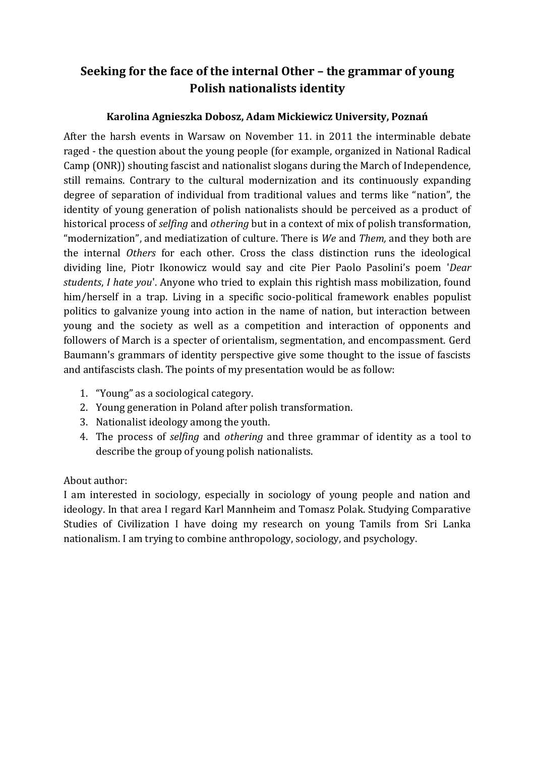# **Seeking for the face of the internal Other – the grammar of young Polish nationalists identity**

### **Karolina Agnieszka Dobosz, Adam Mickiewicz University, Poznań**

After the harsh events in Warsaw on November 11. in 2011 the interminable debate raged - the question about the young people (for example, organized in National Radical Camp (ONR)) shouting fascist and nationalist slogans during the March of Independence, still remains. Contrary to the cultural modernization and its continuously expanding degree of separation of individual from traditional values and terms like "nation", the identity of young generation of polish nationalists should be perceived as a product of historical process of *selfing* and *othering* but in a context of mix of polish transformation, "modernization", and mediatization of culture. There is *We* and *Them,* and they both are the internal *Others* for each other. Cross the class distinction runs the ideological dividing line, Piotr Ikonowicz would say and cite Pier Paolo Pasolini's poem '*Dear students*, *I hate you*'. Anyone who tried to explain this rightish mass mobilization, found him/herself in a trap. Living in a specific socio-political framework enables populist politics to galvanize young into action in the name of nation, but interaction between young and the society as well as a competition and interaction of opponents and followers of March is a specter of orientalism, segmentation, and encompassment. Gerd Baumann's grammars of identity perspective give some thought to the issue of fascists and antifascists clash. The points of my presentation would be as follow:

- 1. "Young" as a sociological category.
- 2. Young generation in Poland after polish transformation.
- 3. Nationalist ideology among the youth.
- 4. The process of *selfing* and *othering* and three grammar of identity as a tool to describe the group of young polish nationalists.

### About author:

I am interested in sociology, especially in sociology of young people and nation and ideology. In that area I regard Karl Mannheim and Tomasz Polak. Studying Comparative Studies of Civilization I have doing my research on young Tamils from Sri Lanka nationalism. I am trying to combine anthropology, sociology, and psychology.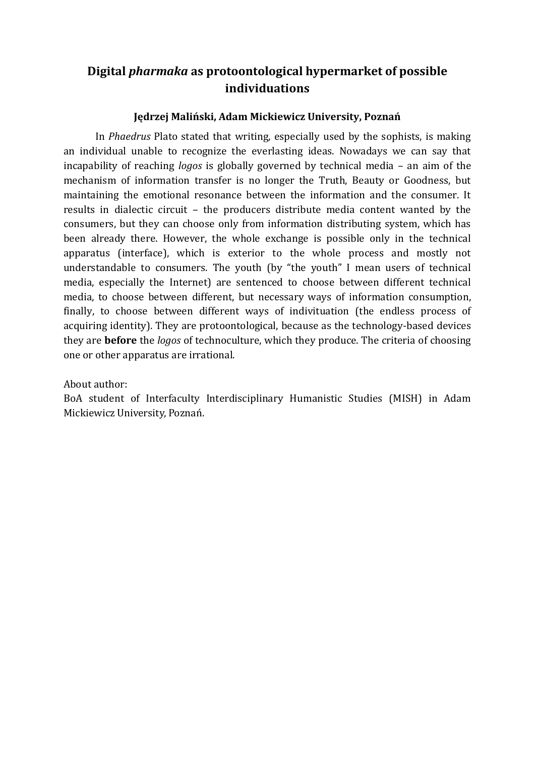### **Digital** *pharmaka* **as protoontological hypermarket of possible individuations**

### **Jędrzej Maliński, Adam Mickiewicz University, Poznań**

In *Phaedrus* Plato stated that writing, especially used by the sophists, is making an individual unable to recognize the everlasting ideas. Nowadays we can say that incapability of reaching *logos* is globally governed by technical media – an aim of the mechanism of information transfer is no longer the Truth, Beauty or Goodness, but maintaining the emotional resonance between the information and the consumer. It results in dialectic circuit – the producers distribute media content wanted by the consumers, but they can choose only from information distributing system, which has been already there. However, the whole exchange is possible only in the technical apparatus (interface), which is exterior to the whole process and mostly not understandable to consumers. The youth (by "the youth" I mean users of technical media, especially the Internet) are sentenced to choose between different technical media, to choose between different, but necessary ways of information consumption, finally, to choose between different ways of indivituation (the endless process of acquiring identity). They are protoontological, because as the technology-based devices they are **before** the *logos* of technoculture, which they produce. The criteria of choosing one or other apparatus are irrational.

#### About author:

BoA student of Interfaculty Interdisciplinary Humanistic Studies (MISH) in Adam Mickiewicz University, Poznań.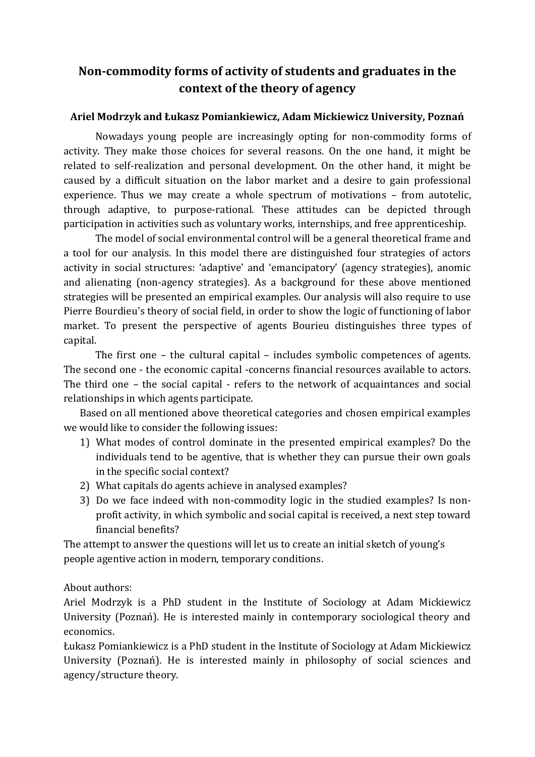# **Non-commodity forms of activity of students and graduates in the context of the theory of agency**

### **Ariel Modrzyk and Łukasz Pomiankiewicz, Adam Mickiewicz University, Poznań**

Nowadays young people are increasingly opting for non-commodity forms of activity. They make those choices for several reasons. On the one hand, it might be related to self-realization and personal development. On the other hand, it might be caused by a difficult situation on the labor market and a desire to gain professional experience. Thus we may create a whole spectrum of motivations – from autotelic, through adaptive, to purpose-rational. These attitudes can be depicted through participation in activities such as voluntary works, internships, and free apprenticeship.

The model of social environmental control will be a general theoretical frame and a tool for our analysis. In this model there are distinguished four strategies of actors activity in social structures: 'adaptive' and 'emancipatory' (agency strategies), anomic and alienating (non-agency strategies). As a background for these above mentioned strategies will be presented an empirical examples. Our analysis will also require to use Pierre Bourdieu's theory of social field, in order to show the logic of functioning of labor market. To present the perspective of agents Bourieu distinguishes three types of capital.

The first one – the cultural capital – includes symbolic competences of agents. The second one - the economic capital -concerns financial resources available to actors. The third one – the social capital - refers to the network of acquaintances and social relationships in which agents participate.

Based on all mentioned above theoretical categories and chosen empirical examples we would like to consider the following issues:

- 1) What modes of control dominate in the presented empirical examples? Do the individuals tend to be agentive, that is whether they can pursue their own goals in the specific social context?
- 2) What capitals do agents achieve in analysed examples?
- 3) Do we face indeed with non-commodity logic in the studied examples? Is nonprofit activity, in which symbolic and social capital is received, a next step toward financial benefits?

The attempt to answer the questions will let us to create an initial sketch of young's people agentive action in modern, temporary conditions.

About authors:

Ariel Modrzyk is a PhD student in the Institute of Sociology at Adam Mickiewicz University (Poznań). He is interested mainly in contemporary sociological theory and economics.

Łukasz Pomiankiewicz is a PhD student in the Institute of Sociology at Adam Mickiewicz University (Poznań). He is interested mainly in philosophy of social sciences and agency/structure theory.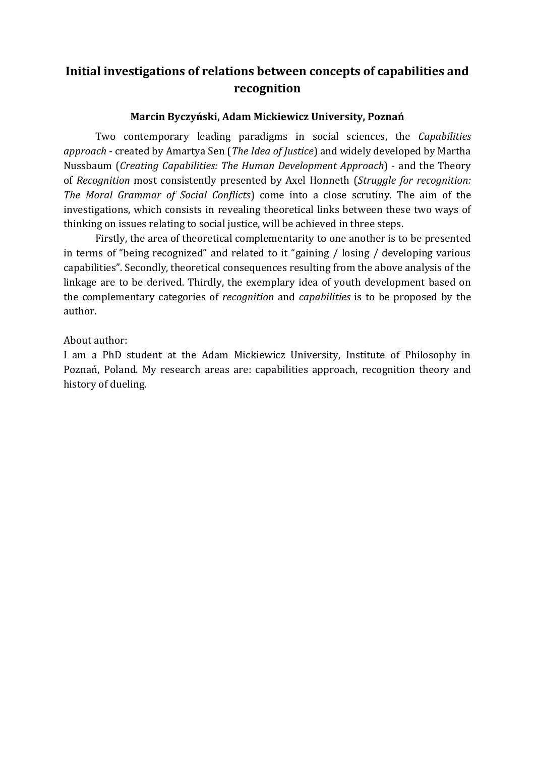## **Initial investigations of relations between concepts of capabilities and recognition**

### **Marcin Byczyński, Adam Mickiewicz University, Poznań**

Two contemporary leading paradigms in social sciences, the *Capabilities approach* - created by Amartya Sen (*The Idea of Justice*) and widely developed by Martha Nussbaum (*Creating Capabilities: The Human Development Approach*) - and the Theory of *Recognition* most consistently presented by Axel Honneth (*Struggle for recognition: The Moral Grammar of Social Conflicts*) come into a close scrutiny*.* The aim of the investigations, which consists in revealing theoretical links between these two ways of thinking on issues relating to social justice, will be achieved in three steps.

Firstly, the area of theoretical complementarity to one another is to be presented in terms of "being recognized" and related to it "gaining / losing / developing various capabilities". Secondly, theoretical consequences resulting from the above analysis of the linkage are to be derived. Thirdly, the exemplary idea of youth development based on the complementary categories of *recognition* and *capabilities* is to be proposed by the author.

About author:

I am a PhD student at the Adam Mickiewicz University, Institute of Philosophy in Poznań, Poland. My research areas are: capabilities approach, recognition theory and history of dueling.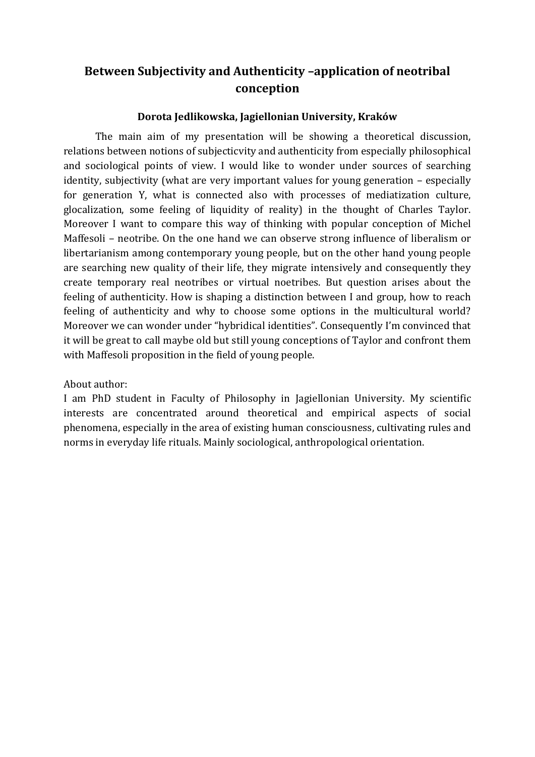# **Between Subjectivity and Authenticity –application of neotribal conception**

### **Dorota Jedlikowska, Jagiellonian University, Kraków**

The main aim of my presentation will be showing a theoretical discussion, relations between notions of subjecticvity and authenticity from especially philosophical and sociological points of view. I would like to wonder under sources of searching identity, subjectivity (what are very important values for young generation – especially for generation Y, what is connected also with processes of mediatization culture, glocalization, some feeling of liquidity of reality) in the thought of Charles Taylor. Moreover I want to compare this way of thinking with popular conception of Michel Maffesoli – neotribe. On the one hand we can observe strong influence of liberalism or libertarianism among contemporary young people, but on the other hand young people are searching new quality of their life, they migrate intensively and consequently they create temporary real neotribes or virtual noetribes. But question arises about the feeling of authenticity. How is shaping a distinction between I and group, how to reach feeling of authenticity and why to choose some options in the multicultural world? Moreover we can wonder under "hybridical identities". Consequently I'm convinced that it will be great to call maybe old but still young conceptions of Taylor and confront them with Maffesoli proposition in the field of young people.

About author:

I am PhD student in Faculty of Philosophy in Jagiellonian University. My scientific interests are concentrated around theoretical and empirical aspects of social phenomena, especially in the area of existing human consciousness, cultivating rules and norms in everyday life rituals. Mainly sociological, anthropological orientation.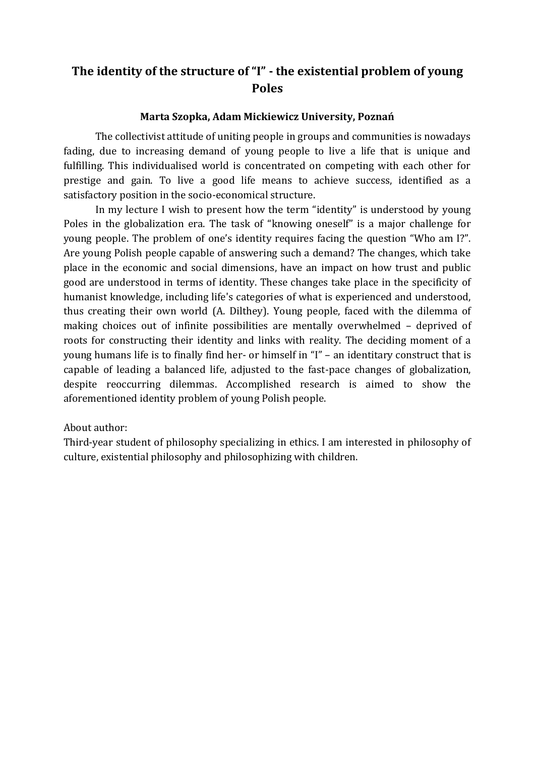# **The identity of the structure of "I" - the existential problem of young Poles**

#### **Marta Szopka, Adam Mickiewicz University, Poznań**

The collectivist attitude of uniting people in groups and communities is nowadays fading, due to increasing demand of young people to live a life that is unique and fulfilling. This individualised world is concentrated on competing with each other for prestige and gain. To live a good life means to achieve success, identified as a satisfactory position in the socio-economical structure.

In my lecture I wish to present how the term "identity" is understood by young Poles in the globalization era. The task of "knowing oneself" is a major challenge for young people. The problem of one's identity requires facing the question "Who am I?". Are young Polish people capable of answering such a demand? The changes, which take place in the economic and social dimensions, have an impact on how trust and public good are understood in terms of identity. These changes take place in the specificity of humanist knowledge, including life's categories of what is experienced and understood, thus creating their own world (A. Dilthey). Young people, faced with the dilemma of making choices out of infinite possibilities are mentally overwhelmed – deprived of roots for constructing their identity and links with reality. The deciding moment of a young humans life is to finally find her- or himself in "I" – an identitary construct that is capable of leading a balanced life, adjusted to the fast-pace changes of globalization, despite reoccurring dilemmas. Accomplished research is aimed to show the aforementioned identity problem of young Polish people.

#### About author:

Third-year student of philosophy specializing in ethics. I am interested in philosophy of culture, existential philosophy and philosophizing with children.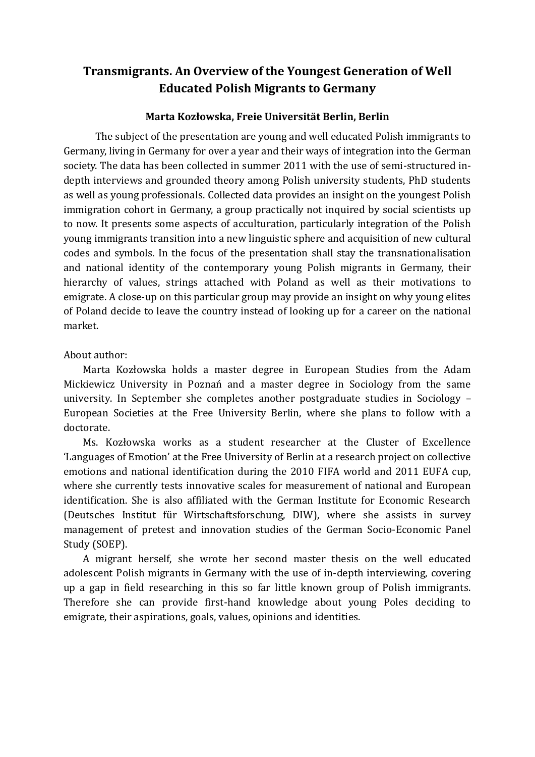### **Transmigrants. An Overview of the Youngest Generation of Well Educated Polish Migrants to Germany**

#### **Marta Kozłowska, Freie Universität Berlin, Berlin**

The subject of the presentation are young and well educated Polish immigrants to Germany, living in Germany for over a year and their ways of integration into the German society. The data has been collected in summer 2011 with the use of semi-structured indepth interviews and grounded theory among Polish university students, PhD students as well as young professionals. Collected data provides an insight on the youngest Polish immigration cohort in Germany, a group practically not inquired by social scientists up to now. It presents some aspects of acculturation, particularly integration of the Polish young immigrants transition into a new linguistic sphere and acquisition of new cultural codes and symbols. In the focus of the presentation shall stay the transnationalisation and national identity of the contemporary young Polish migrants in Germany, their hierarchy of values, strings attached with Poland as well as their motivations to emigrate. A close-up on this particular group may provide an insight on why young elites of Poland decide to leave the country instead of looking up for a career on the national market.

### About author:

Marta Kozłowska holds a master degree in European Studies from the Adam Mickiewicz University in Poznań and a master degree in Sociology from the same university. In September she completes another postgraduate studies in Sociology – European Societies at the Free University Berlin, where she plans to follow with a doctorate.

Ms. Kozłowska works as a student researcher at the Cluster of Excellence 'Languages of Emotion' at the Free University of Berlin at a research project on collective emotions and national identification during the 2010 FIFA world and 2011 EUFA cup, where she currently tests innovative scales for measurement of national and European identification. She is also affiliated with the German Institute for Economic Research (Deutsches Institut für Wirtschaftsforschung, DIW), where she assists in survey management of pretest and innovation studies of the German Socio-Economic Panel Study (SOEP).

A migrant herself, she wrote her second master thesis on the well educated adolescent Polish migrants in Germany with the use of in-depth interviewing, covering up a gap in field researching in this so far little known group of Polish immigrants. Therefore she can provide first-hand knowledge about young Poles deciding to emigrate, their aspirations, goals, values, opinions and identities.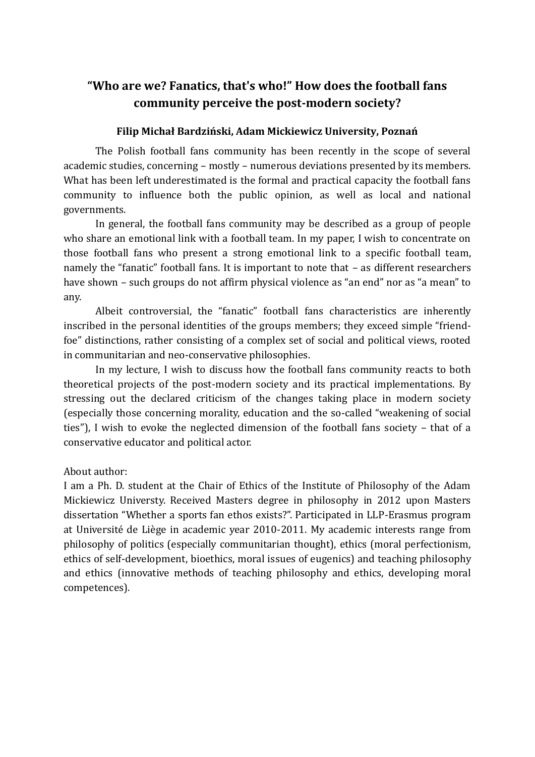## **"Who are we? Fanatics, that's who!" How does the football fans community perceive the post-modern society?**

### **Filip Michał Bardziński, Adam Mickiewicz University, Poznań**

The Polish football fans community has been recently in the scope of several academic studies, concerning – mostly – numerous deviations presented by its members. What has been left underestimated is the formal and practical capacity the football fans community to influence both the public opinion, as well as local and national governments.

In general, the football fans community may be described as a group of people who share an emotional link with a football team. In my paper, I wish to concentrate on those football fans who present a strong emotional link to a specific football team, namely the "fanatic" football fans. It is important to note that – as different researchers have shown – such groups do not affirm physical violence as "an end" nor as "a mean" to any.

Albeit controversial, the "fanatic" football fans characteristics are inherently inscribed in the personal identities of the groups members; they exceed simple "friendfoe" distinctions, rather consisting of a complex set of social and political views, rooted in communitarian and neo-conservative philosophies.

In my lecture, I wish to discuss how the football fans community reacts to both theoretical projects of the post-modern society and its practical implementations. By stressing out the declared criticism of the changes taking place in modern society (especially those concerning morality, education and the so-called "weakening of social ties"), I wish to evoke the neglected dimension of the football fans society – that of a conservative educator and political actor.

#### About author:

I am a Ph. D. student at the Chair of Ethics of the Institute of Philosophy of the Adam Mickiewicz Universty. Received Masters degree in philosophy in 2012 upon Masters dissertation "Whether a sports fan ethos exists?". Participated in LLP-Erasmus program at Université de Liège in academic year 2010-2011. My academic interests range from philosophy of politics (especially communitarian thought), ethics (moral perfectionism, ethics of self-development, bioethics, moral issues of eugenics) and teaching philosophy and ethics (innovative methods of teaching philosophy and ethics, developing moral competences).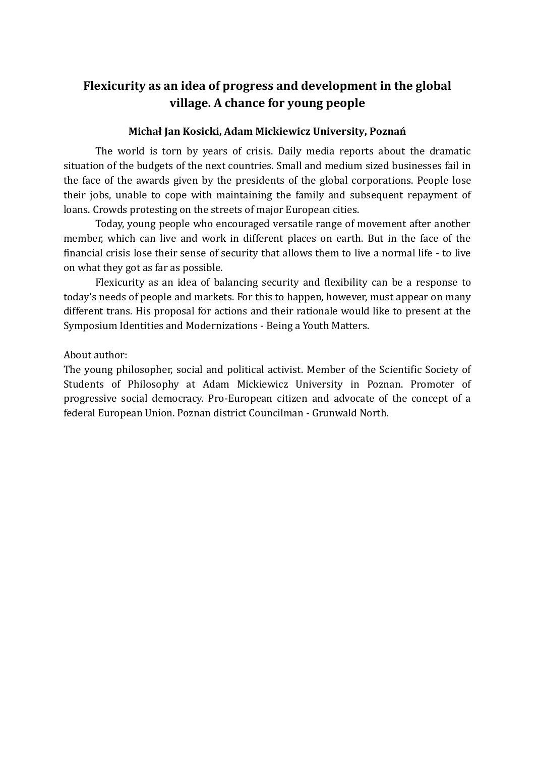## **Flexicurity as an idea of progress and development in the global village. A chance for young people**

#### **Michał Jan Kosicki, Adam Mickiewicz University, Poznań**

The world is torn by years of crisis. Daily media reports about the dramatic situation of the budgets of the next countries. Small and medium sized businesses fail in the face of the awards given by the presidents of the global corporations. People lose their jobs, unable to cope with maintaining the family and subsequent repayment of loans. Crowds protesting on the streets of major European cities.

Today, young people who encouraged versatile range of movement after another member, which can live and work in different places on earth. But in the face of the financial crisis lose their sense of security that allows them to live a normal life - to live on what they got as far as possible.

Flexicurity as an idea of balancing security and flexibility can be a response to today's needs of people and markets. For this to happen, however, must appear on many different trans. His proposal for actions and their rationale would like to present at the Symposium Identities and Modernizations - Being a Youth Matters.

About author:

The young philosopher, social and political activist. Member of the Scientific Society of Students of Philosophy at Adam Mickiewicz University in Poznan. Promoter of progressive social democracy. Pro-European citizen and advocate of the concept of a federal European Union. Poznan district Councilman - Grunwald North.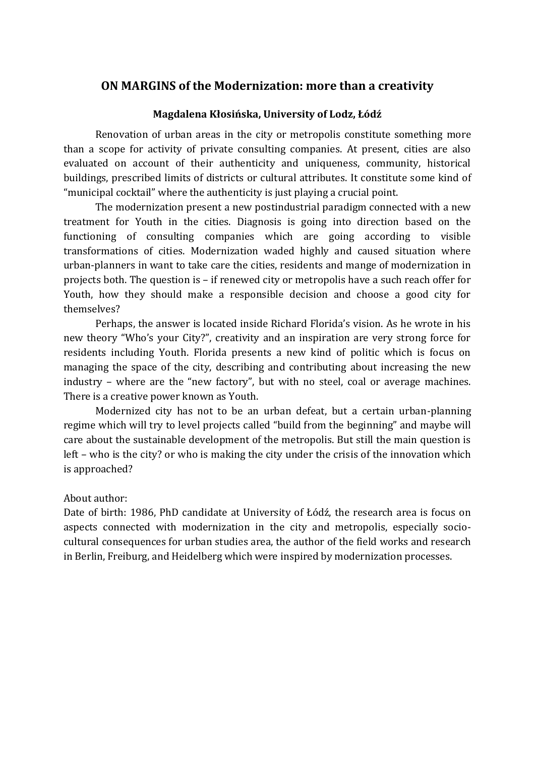### **ON MARGINS of the Modernization: more than a creativity**

#### **Magdalena Kłosińska, University of Lodz, Łódź**

Renovation of urban areas in the city or metropolis constitute something more than a scope for activity of private consulting companies. At present, cities are also evaluated on account of their authenticity and uniqueness, community, historical buildings, prescribed limits of districts or cultural attributes. It constitute some kind of "municipal cocktail" where the authenticity is just playing a crucial point.

The modernization present a new postindustrial paradigm connected with a new treatment for Youth in the cities. Diagnosis is going into direction based on the functioning of consulting companies which are going according to visible transformations of cities. Modernization waded highly and caused situation where urban-planners in want to take care the cities, residents and mange of modernization in projects both. The question is – if renewed city or metropolis have a such reach offer for Youth, how they should make a responsible decision and choose a good city for themselves?

Perhaps, the answer is located inside Richard Florida's vision. As he wrote in his new theory "Who's your City?", creativity and an inspiration are very strong force for residents including Youth. Florida presents a new kind of politic which is focus on managing the space of the city, describing and contributing about increasing the new industry – where are the "new factory", but with no steel, coal or average machines. There is a creative power known as Youth.

Modernized city has not to be an urban defeat, but a certain urban-planning regime which will try to level projects called "build from the beginning" and maybe will care about the sustainable development of the metropolis. But still the main question is left – who is the city? or who is making the city under the crisis of the innovation which is approached?

#### About author:

Date of birth: 1986, PhD candidate at University of Łódź, the research area is focus on aspects connected with modernization in the city and metropolis, especially sociocultural consequences for urban studies area, the author of the field works and research in Berlin, Freiburg, and Heidelberg which were inspired by modernization processes.